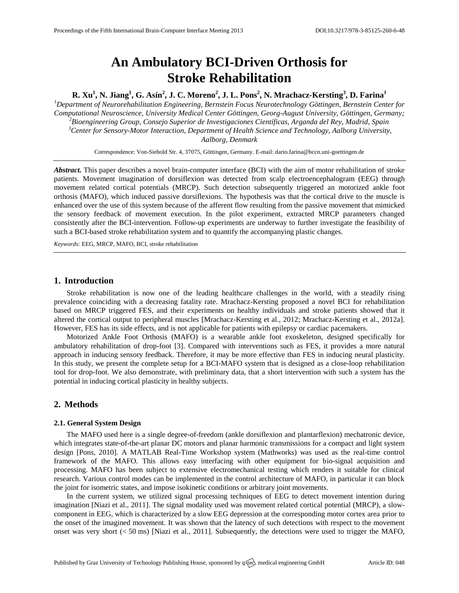# **An Ambulatory BCI-Driven Orthosis for Stroke Rehabilitation**

**R. Xu<sup>1</sup> , N. Jiang<sup>1</sup> , G. Asín<sup>2</sup> , J. C. Moreno<sup>2</sup> , J. L. Pons<sup>2</sup> , N. Mrachacz-Kersting<sup>3</sup> , D. Farina<sup>1</sup>**

*<sup>1</sup>Department of Neurorehabilitation Engineering, Bernstein Focus Neurotechnology Göttingen, Bernstein Center for Computational Neuroscience, University Medical Center Göttingen, Georg-August University, Göttingen, Germany; <sup>2</sup>Bioengineering Group, Consejo Superior de Investigaciones Científicas, Arganda del Rey, Madrid, Spain <sup>3</sup>Center for Sensory-Motor Interaction, Department of Health Science and Technology, Aalborg University, Aalborg, Denmark*

Correspondence: Von-Siebold Str. 4, 37075, Göttingen, Germany. E-mail[: dario.farina@bccn.uni-goettingen.de](mailto:dario.farina@bccn.uni-goettingen.de)

*Abstract.* This paper describes a novel brain-computer interface (BCI) with the aim of motor rehabilitation of stroke patients. Movement imagination of dorsiflexion was detected from scalp electroencephalogram (EEG) through movement related cortical potentials (MRCP). Such detection subsequently triggered an motorized ankle foot orthosis (MAFO), which induced passive dorsiflexions. The hypothesis was that the cortical drive to the muscle is enhanced over the use of this system because of the afferent flow resulting from the passive movement that mimicked the sensory feedback of movement execution. In the pilot experiment, extracted MRCP parameters changed consistently after the BCI-intervention. Follow-up experiments are underway to further investigate the feasibility of such a BCI-based stroke rehabilitation system and to quantify the accompanying plastic changes.

*Keywords:* EEG, MRCP, MAFO, BCI, stroke rehabilitation

## **1. Introduction**

Stroke rehabilitation is now one of the leading healthcare challenges in the world, with a steadily rising prevalence coinciding with a decreasing fatality rate. Mrachacz-Kersting proposed a novel BCI for rehabilitation based on MRCP triggered FES, and their experiments on healthy individuals and stroke patients showed that it altered the cortical output to peripheral muscles [Mrachacz-Kersting et al., 2012; Mrachacz-Kersting et al., 2012a]. However, FES has its side effects, and is not applicable for patients with epilepsy or cardiac pacemakers.

Motorized Ankle Foot Orthosis (MAFO) is a wearable ankle foot exoskeleton, designed specifically for ambulatory rehabilitation of drop-foot [3]. Compared with interventions such as FES, it provides a more natural approach in inducing sensory feedback. Therefore, it may be more effective than FES in inducing neural plasticity. In this study, we present the complete setup for a BCI-MAFO system that is designed as a close-loop rehabilitation tool for drop-foot. We also demonstrate, with preliminary data, that a short intervention with such a system has the potential in inducing cortical plasticity in healthy subjects.

# **2. Methods**

## **2.1. General System Design**

The MAFO used here is a single degree-of-freedom (ankle dorsiflexion and plantarflexion) mechatronic device, which integrates state-of-the-art planar DC motors and planar harmonic transmissions for a compact and light system design [Pons, 2010]. A MATLAB Real-Time Workshop system (Mathworks) was used as the real-time control framework of the MAFO. This allows easy interfacing with other equipment for bio-signal acquisition and processing. MAFO has been subject to extensive electromechanical testing which renders it suitable for clinical research. Various control modes can be implemented in the control architecture of MAFO, in particular it can block the joint for isometric states, and impose isokinetic conditions or arbitrary joint movements.

In the current system, we utilized signal processing techniques of EEG to detect movement intention during imagination [Niazi et al., 2011]. The signal modality used was movement related cortical potential (MRCP), a slowcomponent in EEG, which is characterized by a slow EEG depression at the corresponding motor cortex area prior to the onset of the imagined movement. It was shown that the latency of such detections with respect to the movement onset was very short  $(< 50 \text{ ms})$  [Niazi et al., 2011]. Subsequently, the detections were used to trigger the MAFO,